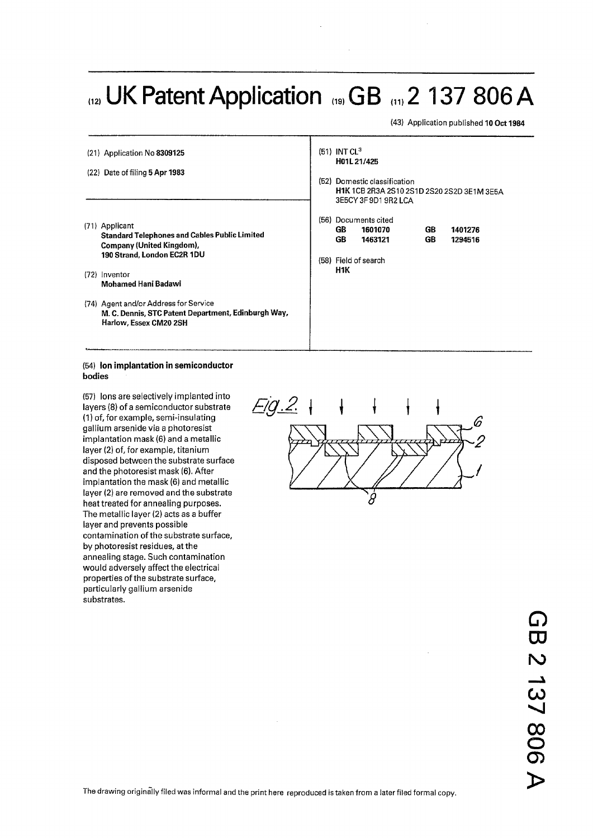## (12) UK Patent Application (19) GB (11) 2 137 806 A

(43) Application published 10 **Oct** 1984

| (21) Application No 8309125<br>$(22)$ Date of filing 5 Apr 1983                                                                                                                                                                                                                                             | $(51)$ INT CL <sup>3</sup><br>H01L 21/425<br>(52) Domestic classification<br>H1K 1CB 2R3A 2S10 2S1D 2S20 2S2D 3E1M 3E5A<br>3E5CY 3F 9D1 9R2 LCA |
|-------------------------------------------------------------------------------------------------------------------------------------------------------------------------------------------------------------------------------------------------------------------------------------------------------------|-------------------------------------------------------------------------------------------------------------------------------------------------|
| (71) Applicant<br><b>Standard Telephones and Cables Public Limited</b><br>Company (United Kingdom),<br>190 Strand, London EC2R 1DU<br>(72) Inventor<br><b>Mohamed Hani Badawi</b><br>(74) Agent and/or Address for Service<br>M. C. Dennis, STC Patent Department, Edinburgh Way,<br>Harlow, Essex CM20 2SH | (56) Documents cited<br>GB<br>GB<br>1601070<br>1401276<br>GB<br><b>GB</b><br>1463121<br>1294516<br>(58) Field of search<br>H1K                  |

(54) **Ion implantation in semiconductor bodies** 

(57) Ions are selectively implanted into layers (8) of a semiconductor substrate (1) of, for example, semi-insulating gallium arsenide via a photoresist implantation mask (6) and a metallic layer (2) of, for example, titanium disposed between the substrate surface and the photoresist mask (6). After implantation the mask (6) and metallic layer (2) are removed and the substrate heat treated for annealing purposes. The metallic layer (2) acts as a buffer layer and prevents possible contamination of the substrate surface, by photoresist residues, at the annealing stage. Such contamination would adversely affect the electrical properties of the substrate surface, particularly gallium arsenide substrates.



*o*  CD **r o**  ယ္ **•vi o o**  o က $\overline{C}$ 

The drawing originally filed was informal and the print here reproduced is taken from a later filed formal copy.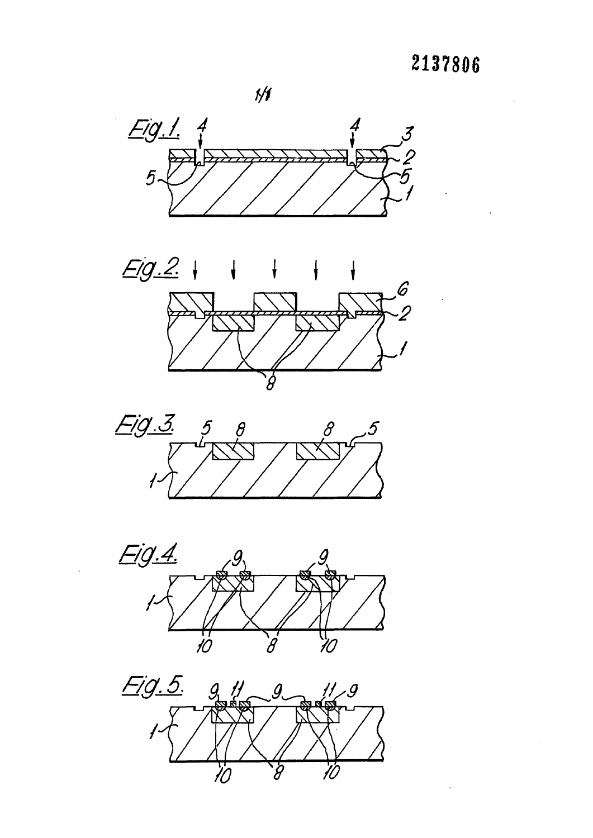







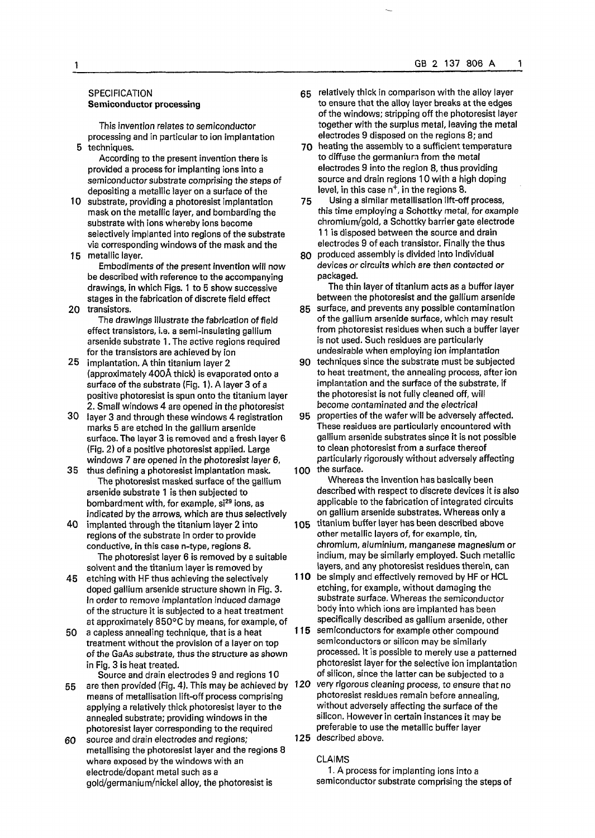## **SPECIFICATION Semiconductor processing**

This invention relates to semiconductor processing and in particular to ion implantation 5 techniques.

According to the present invention there is provided a process for implanting ions into a semiconductor substrate comprising the steps of depositing a metallic layer on a surface of the

- 10 substrate, providing a photoresist implantation mask on the metallic layer, and bombarding the substrate with ions whereby ions become selectively implanted into regions of the substrate via corresponding windows of the mask and the
- 15 metallic layer.

Embodiments of the present invention will now be described with reference to the accompanying drawings, in which Figs. 1 to 5 show successive stages in the fabrication of discrete field effect 20 transistors.

The drawings illustrate the fabrication of field effect transistors, i.e. a semi-insulating gallium arsenide substrate 1. The active regions required for the transistors are achieved by ion

- 25 implantation. A thin titanium layer 2 (approximately 400A thick) is evaporated onto a surface of the substrate (Fig. 1). A layer 3 of a positive photoresist is spun onto the titanium layer 2. Small windows 4 are opened in the photoresist
- 30 layer 3 and through these windows 4 registration marks 5 are etched in the gallium arsenide surface. The layer 3 is removed and a fresh layer 6 (Fig. 2) of a positive photoresist applied. Large windows 7 are opened in the photoresist layer *6,*
- 35 thus defining a photoresist implantation mask. The photoresist masked surface of the gallium arsenide substrate 1 is then subjected to bombardment with, for example, si<sup>29</sup> ions, as indicated by the arrows, which are thus selectively
- 40 implanted through the titanium layer 2 into regions of the substrate in order to provide conductive, in this case n-type, regions 8. The photoresist layer 6 is removed by a suitable solvent and the titanium layer is removed by
- 45 etching with HF thus achieving the selectively doped gallium arsenide structure shown in Fig. 3. In order to remove implantation induced damage of the structure it is subjected to a heat treatment at approximately 850°C by means, for example, of
- 50 a capless annealing technique, that is a heat treatment without the provision of a layer on top of the GaAs substrate, thus the structure as shown in Fig. 3 is heat treated.

Source and drain electrodes 9 and regions 10

- 55 are then provided (Fig. 4). This may be achieved by means of metallisation lift-off process comprising applying a relatively thick photoresist layer to the annealed substrate; providing windows in the photoresist layer corresponding to the required
- 60 source and drain electrodes and regions; metallising the photoresist layer and the regions 8 where exposed by the windows with an electrode/dopant metal such as a gold/germanium/nickel alloy, the photoresist is
- 65 relatively thick in comparison with the alloy layer to ensure that the alloy layer breaks at the edges of the windows; stripping off the photoresist layer together with the surplus metal, leaving the metal electrodes 9 disposed on the regions 8; and
- 70 heating the assembly to a sufficient temperature to diffuse the germanium from the metal electrodes 9 into the region 8, thus providing source and drain regions 10 with a high doping level, in this case  $\mathsf{n}^+$ , in the regions 8.
- 75 Using a similar metallisation lift-off process, this time employing a Schottky metal, for example chromium/gold, a Schottky barrier gate electrode 11 is disposed between the source and drain electrodes 9 of each transistor. Finally the thus
- 80 produced assembly is divided into individual devices or circuits which are then contacted or packaged.

The thin layer of titanium acts as a buffer layer between the photoresist and the gallium arsenide

- 85 surface, and prevents any possible contamination of the gallium arsenide surface, which may result from photoresist residues when such a buffer layer is not used. Such residues are particularly undesirable when employing ion implantation
- 90 techniques since the substrate must be subjected to heat treatment, the annealing process, after ion implantation and the surface of the substrate, if the photoresist is not fully cleaned off, will become contaminated and the electrical
- 95 properties of the wafer will be adversely affected. These residues are particularly encountered with gallium arsenide substrates since it is not possible to clean photoresist from a surface thereof particularly rigorously without adversely affecting 100 the surface.
	- Whereas the invention has basically been described with respect to discrete devices it is also applicable to the fabrication of integrated circuits on gallium arsenide substrates. Whereas only a
- 105 titanium buffer layer has been described above other metallic layers of, for example, tin, chromium, aluminium, manganese magnesium or indium, may be similarly employed. Such metallic layers, and any photoresist residues therein, can
- 110 be simply and effectively removed by HF or HCL etching, for example, without damaging the substrate surface. Whereas the semiconductor body into which ions are implanted has been specifically described as gallium arsenide, other
- 115 semiconductors for example other compound semiconductors or silicon may be similarly processed. It is possible to merely use a patterned photoresist layer for the selective ion implantation of silicon, since the latter can be subjected to a
- very rigorous cleaning process, to ensure that no photoresist residues remain before annealing, without adversely affecting the surface of the silicon. However in certain instances it may be preferable to use the metallic buffer layer 125 described above.

## CLAIMS

1. A process for implanting ions into a semiconductor substrate comprising the steps of